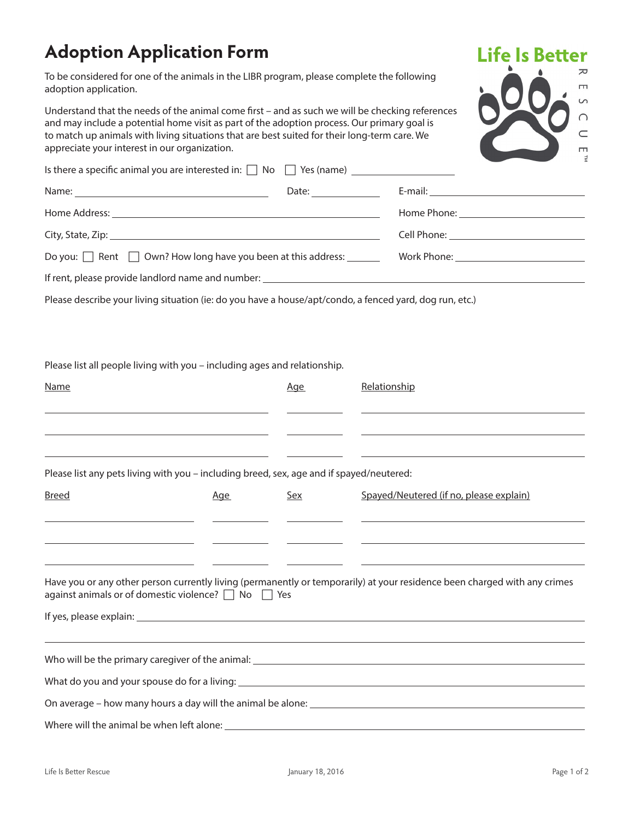## **Adoption Application Form**

To be considered for one of the animals in the LIBR program, please complete the following adoption application.

Understand that the needs of the animal come first – and as such we will be checking references and may include a potential home visit as part of the adoption process. Our primary goal is to match up animals with living situations that are best suited for their long-term care. We appreciate your interest in our organization.



|                                                                         | Date: $\frac{1}{\sqrt{1-\frac{1}{2}}\cdot\frac{1}{2}}$ |                                           |
|-------------------------------------------------------------------------|--------------------------------------------------------|-------------------------------------------|
|                                                                         |                                                        |                                           |
|                                                                         |                                                        |                                           |
| Do you: $\Box$ Rent $\Box$ Own? How long have you been at this address: |                                                        | Work Phone: _____________________________ |
|                                                                         |                                                        |                                           |

Please describe your living situation (ie: do you have a house/apt/condo, a fenced yard, dog run, etc.)

Please list all people living with you – including ages and relationship.

| Name                                                                                     |     | Age                                                                                                                                                                                                                                  | Relationship                                                                                                                                                                                                                         |
|------------------------------------------------------------------------------------------|-----|--------------------------------------------------------------------------------------------------------------------------------------------------------------------------------------------------------------------------------------|--------------------------------------------------------------------------------------------------------------------------------------------------------------------------------------------------------------------------------------|
|                                                                                          |     | the contract of the contract of the                                                                                                                                                                                                  | <u>state and the state of the state of the state of the state of the state of the state of the state of the state of the state of the state of the state of the state of the state of the state of the state of the state of the</u> |
| Please list any pets living with you - including breed, sex, age and if spayed/neutered: |     |                                                                                                                                                                                                                                      |                                                                                                                                                                                                                                      |
| <b>Breed</b>                                                                             | Age | Sex                                                                                                                                                                                                                                  | Spayed/Neutered (if no, please explain)                                                                                                                                                                                              |
|                                                                                          |     | <u> De Carlos de Carlos de Carlos de Carlos de Carlos de Carlos de Carlos de Carlos de Carlos de Carlos de Carlos de Carlos de Carlos de Carlos de Carlos de Carlos de Carlos de Carlos de Carlos de Carlos de Carlos de Carlos </u> | <u> 1999 - Johann Stoff, amerikansk politiker (* 1908)</u><br><u> 1989 - Johann Stein, mars and de Britain and de Britain and de Britain and de Britain and de Britain and de B</u>                                                  |
|                                                                                          |     |                                                                                                                                                                                                                                      |                                                                                                                                                                                                                                      |
| against animals or of domestic violence? $\Box$ No $\Box$ Yes                            |     |                                                                                                                                                                                                                                      | Have you or any other person currently living (permanently or temporarily) at your residence been charged with any crimes                                                                                                            |
|                                                                                          |     |                                                                                                                                                                                                                                      |                                                                                                                                                                                                                                      |
|                                                                                          |     |                                                                                                                                                                                                                                      | Who will be the primary caregiver of the animal: Letter and the state of the state of the state of the state of the state of the animal:                                                                                             |
|                                                                                          |     |                                                                                                                                                                                                                                      |                                                                                                                                                                                                                                      |
|                                                                                          |     |                                                                                                                                                                                                                                      |                                                                                                                                                                                                                                      |
| Where will the animal be when left alone:                                                |     |                                                                                                                                                                                                                                      | <u> 1989 - Johann Stoff, deutscher Stoff, der Stoff, der Stoff, der Stoff, der Stoff, der Stoff, der Stoff, der S</u>                                                                                                                |